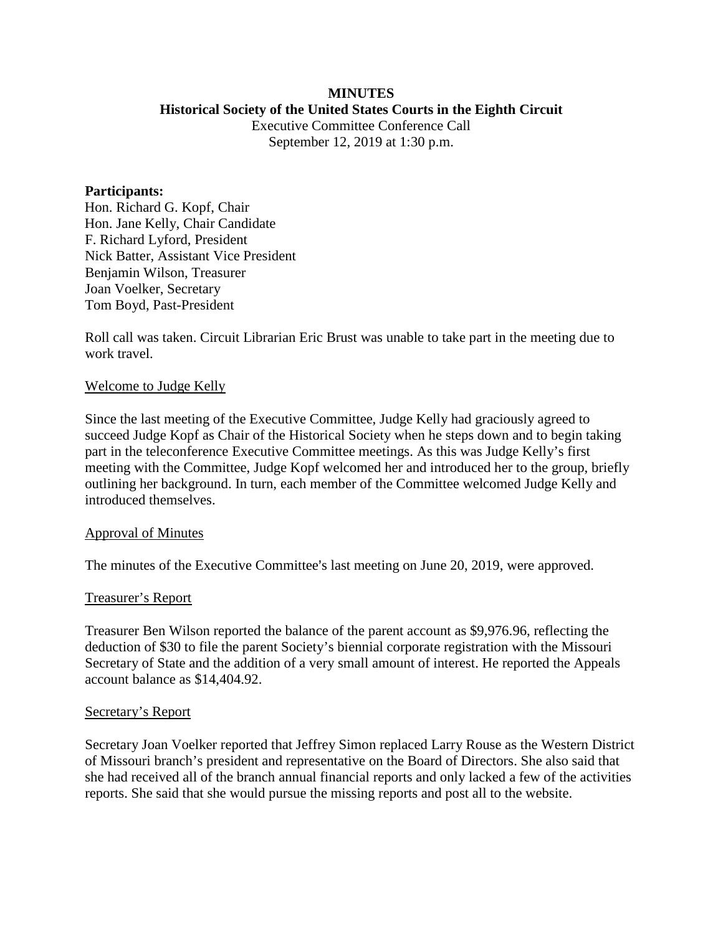## **MINUTES Historical Society of the United States Courts in the Eighth Circuit**

Executive Committee Conference Call September 12, 2019 at 1:30 p.m.

### **Participants:**

Hon. Richard G. Kopf, Chair Hon. Jane Kelly, Chair Candidate F. Richard Lyford, President Nick Batter, Assistant Vice President Benjamin Wilson, Treasurer Joan Voelker, Secretary Tom Boyd, Past-President

Roll call was taken. Circuit Librarian Eric Brust was unable to take part in the meeting due to work travel.

## Welcome to Judge Kelly

Since the last meeting of the Executive Committee, Judge Kelly had graciously agreed to succeed Judge Kopf as Chair of the Historical Society when he steps down and to begin taking part in the teleconference Executive Committee meetings. As this was Judge Kelly's first meeting with the Committee, Judge Kopf welcomed her and introduced her to the group, briefly outlining her background. In turn, each member of the Committee welcomed Judge Kelly and introduced themselves.

### Approval of Minutes

The minutes of the Executive Committee's last meeting on June 20, 2019, were approved.

# Treasurer's Report

Treasurer Ben Wilson reported the balance of the parent account as \$9,976.96, reflecting the deduction of \$30 to file the parent Society's biennial corporate registration with the Missouri Secretary of State and the addition of a very small amount of interest. He reported the Appeals account balance as \$14,404.92.

## Secretary's Report

Secretary Joan Voelker reported that Jeffrey Simon replaced Larry Rouse as the Western District of Missouri branch's president and representative on the Board of Directors. She also said that she had received all of the branch annual financial reports and only lacked a few of the activities reports. She said that she would pursue the missing reports and post all to the website.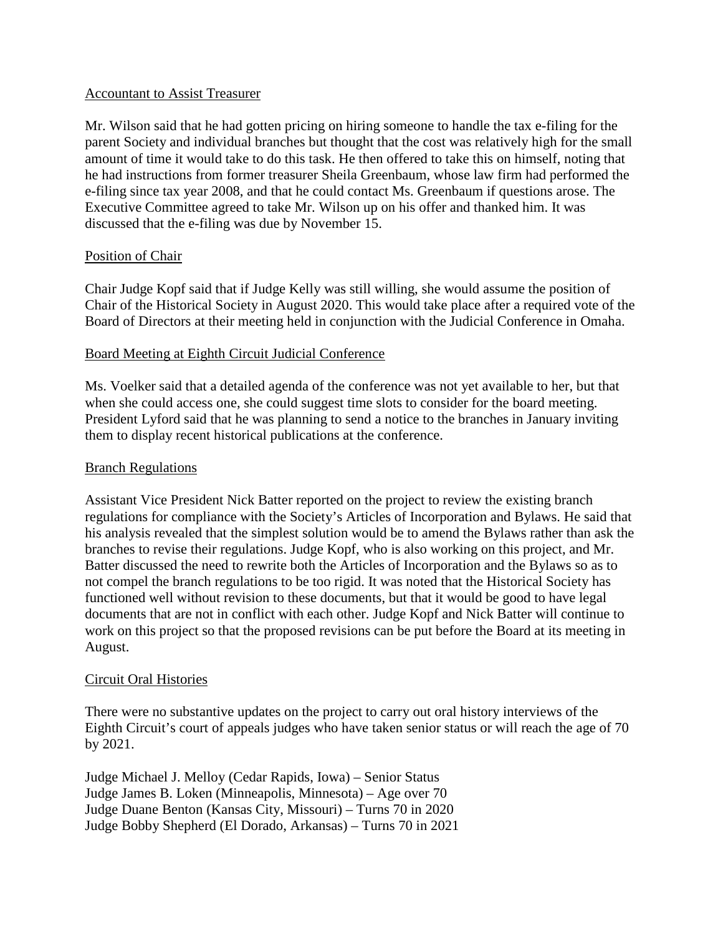# Accountant to Assist Treasurer

Mr. Wilson said that he had gotten pricing on hiring someone to handle the tax e-filing for the parent Society and individual branches but thought that the cost was relatively high for the small amount of time it would take to do this task. He then offered to take this on himself, noting that he had instructions from former treasurer Sheila Greenbaum, whose law firm had performed the e-filing since tax year 2008, and that he could contact Ms. Greenbaum if questions arose. The Executive Committee agreed to take Mr. Wilson up on his offer and thanked him. It was discussed that the e-filing was due by November 15.

# Position of Chair

Chair Judge Kopf said that if Judge Kelly was still willing, she would assume the position of Chair of the Historical Society in August 2020. This would take place after a required vote of the Board of Directors at their meeting held in conjunction with the Judicial Conference in Omaha.

# Board Meeting at Eighth Circuit Judicial Conference

Ms. Voelker said that a detailed agenda of the conference was not yet available to her, but that when she could access one, she could suggest time slots to consider for the board meeting. President Lyford said that he was planning to send a notice to the branches in January inviting them to display recent historical publications at the conference.

# Branch Regulations

Assistant Vice President Nick Batter reported on the project to review the existing branch regulations for compliance with the Society's Articles of Incorporation and Bylaws. He said that his analysis revealed that the simplest solution would be to amend the Bylaws rather than ask the branches to revise their regulations. Judge Kopf, who is also working on this project, and Mr. Batter discussed the need to rewrite both the Articles of Incorporation and the Bylaws so as to not compel the branch regulations to be too rigid. It was noted that the Historical Society has functioned well without revision to these documents, but that it would be good to have legal documents that are not in conflict with each other. Judge Kopf and Nick Batter will continue to work on this project so that the proposed revisions can be put before the Board at its meeting in August.

# Circuit Oral Histories

There were no substantive updates on the project to carry out oral history interviews of the Eighth Circuit's court of appeals judges who have taken senior status or will reach the age of 70 by 2021.

Judge Michael J. Melloy (Cedar Rapids, Iowa) – Senior Status Judge James B. Loken (Minneapolis, Minnesota) – Age over 70 Judge Duane Benton (Kansas City, Missouri) – Turns 70 in 2020 Judge Bobby Shepherd (El Dorado, Arkansas) – Turns 70 in 2021